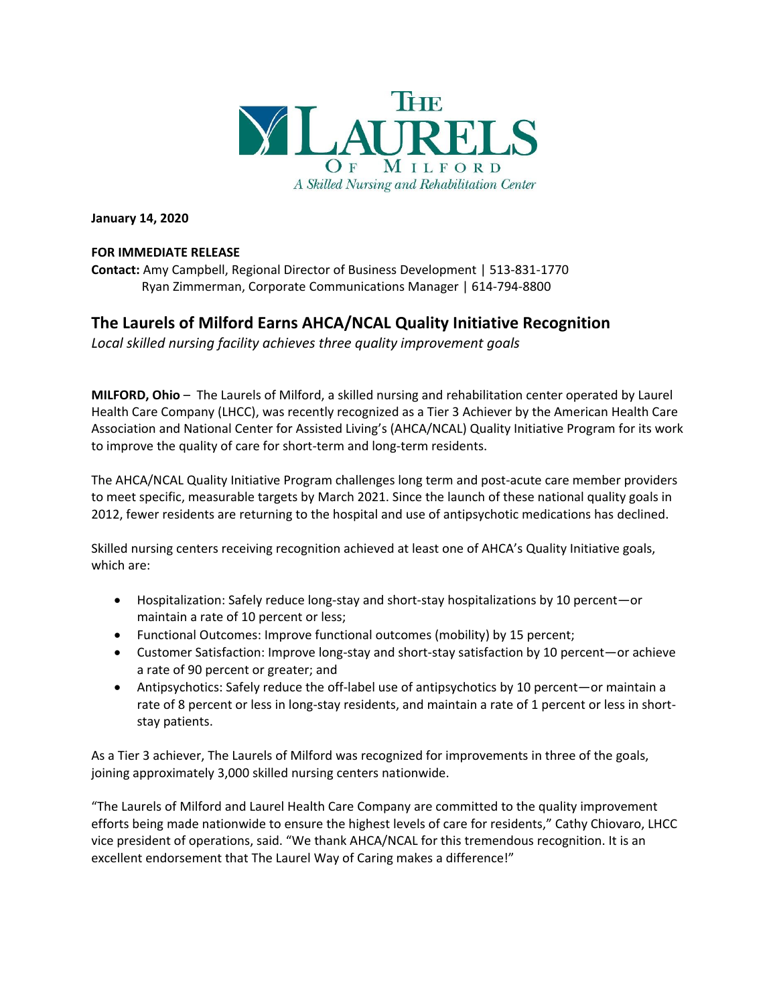

**January 14, 2020**

## **FOR IMMEDIATE RELEASE**

**Contact:** Amy Campbell, Regional Director of Business Development | 513-831-1770 Ryan Zimmerman, Corporate Communications Manager | 614-794-8800

# **The Laurels of Milford Earns AHCA/NCAL Quality Initiative Recognition**

*Local skilled nursing facility achieves three quality improvement goals* 

**MILFORD, Ohio** – The Laurels of Milford, a skilled nursing and rehabilitation center operated by Laurel Health Care Company (LHCC), was recently recognized as a Tier 3 Achiever by the American Health Care Association and National Center for Assisted Living's (AHCA/NCAL) Quality Initiative Program for its work to improve the quality of care for short-term and long-term residents.

The AHCA/NCAL Quality Initiative Program challenges long term and post-acute care member providers to meet specific, measurable targets by March 2021. Since the launch of these national quality goals in 2012, fewer residents are returning to the hospital and use of antipsychotic medications has declined.

Skilled nursing centers receiving recognition achieved at least one of AHCA's Quality Initiative goals, which are:

- Hospitalization: Safely reduce long-stay and short-stay hospitalizations by 10 percent—or maintain a rate of 10 percent or less;
- Functional Outcomes: Improve functional outcomes (mobility) by 15 percent;
- Customer Satisfaction: Improve long-stay and short-stay satisfaction by 10 percent—or achieve a rate of 90 percent or greater; and
- Antipsychotics: Safely reduce the off-label use of antipsychotics by 10 percent—or maintain a rate of 8 percent or less in long-stay residents, and maintain a rate of 1 percent or less in shortstay patients.

As a Tier 3 achiever, The Laurels of Milford was recognized for improvements in three of the goals, joining approximately 3,000 skilled nursing centers nationwide.

"The Laurels of Milford and Laurel Health Care Company are committed to the quality improvement efforts being made nationwide to ensure the highest levels of care for residents," Cathy Chiovaro, LHCC vice president of operations, said. "We thank AHCA/NCAL for this tremendous recognition. It is an excellent endorsement that The Laurel Way of Caring makes a difference!"